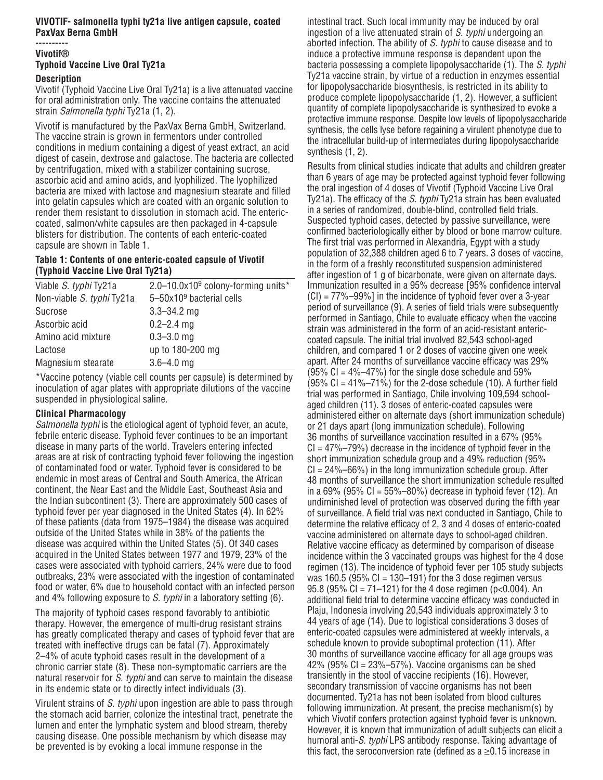## **VIVOTIF- salmonella typhi ty21a live antigen capsule, coated PaxVax Berna GmbH**

#### **---------- Vivotif®**

# **Typhoid Vaccine Live Oral Ty21a Description**

Vivotif (Typhoid Vaccine Live Oral Ty21a) is a live attenuated vaccine for oral administration only. The vaccine contains the attenuated strain Salmonella typhi Ty21a (1, 2).

Vivotif is manufactured by the PaxVax Berna GmbH, Switzerland. The vaccine strain is grown in fermentors under controlled conditions in medium containing a digest of yeast extract, an acid digest of casein, dextrose and galactose. The bacteria are collected by centrifugation, mixed with a stabilizer containing sucrose, ascorbic acid and amino acids, and lyophilized. The lyophilized bacteria are mixed with lactose and magnesium stearate and filled into gelatin capsules which are coated with an organic solution to render them resistant to dissolution in stomach acid. The entericcoated, salmon/white capsules are then packaged in 4-capsule blisters for distribution. The contents of each enteric-coated capsule are shown in Table 1.

## **Table 1: Contents of one enteric-coated capsule of Vivotif (Typhoid Vaccine Live Oral Ty21a)**

| Viable S. typhi Ty21a     | 2.0–10.0x10 <sup>9</sup> colony-forming units* |
|---------------------------|------------------------------------------------|
| Non-viable S. typhi Ty21a | $5 - 50 \times 10^9$ bacterial cells           |
| Sucrose                   | $3.3 - 34.2$ mg                                |
| Ascorbic acid             | $0.2 - 2.4$ mg                                 |
| Amino acid mixture        | $0.3 - 3.0$ mg                                 |
| Lactose                   | up to 180-200 mg                               |
| Magnesium stearate        | $3.6 - 4.0$ mg                                 |
|                           |                                                |

\*Vaccine potency (viable cell counts per capsule) is determined by inoculation of agar plates with appropriate dilutions of the vaccine suspended in physiological saline.

# **Clinical Pharmacology**

Salmonella typhi is the etiological agent of typhoid fever, an acute, febrile enteric disease. Typhoid fever continues to be an important disease in many parts of the world. Travelers entering infected areas are at risk of contracting typhoid fever following the ingestion of contaminated food or water. Typhoid fever is considered to be endemic in most areas of Central and South America, the African continent, the Near East and the Middle East, Southeast Asia and the Indian subcontinent (3). There are approximately 500 cases of typhoid fever per year diagnosed in the United States (4). In 62% of these patients (data from 1975–1984) the disease was acquired outside of the United States while in 38% of the patients the disease was acquired within the United States (5). Of 340 cases acquired in the United States between 1977 and 1979, 23% of the cases were associated with typhoid carriers, 24% were due to food outbreaks, 23% were associated with the ingestion of contaminated food or water, 6% due to household contact with an infected person and 4% following exposure to S. typhi in a laboratory setting (6).

The majority of typhoid cases respond favorably to antibiotic therapy. However, the emergence of multi-drug resistant strains has greatly complicated therapy and cases of typhoid fever that are treated with ineffective drugs can be fatal (7). Approximately 2–4% of acute typhoid cases result in the development of a chronic carrier state (8). These non-symptomatic carriers are the natural reservoir for S. typhi and can serve to maintain the disease in its endemic state or to directly infect individuals (3).

Virulent strains of S. typhi upon ingestion are able to pass through the stomach acid barrier, colonize the intestinal tract, penetrate the lumen and enter the lymphatic system and blood stream, thereby causing disease. One possible mechanism by which disease may be prevented is by evoking a local immune response in the

intestinal tract. Such local immunity may be induced by oral ingestion of a live attenuated strain of S. typhi undergoing an aborted infection. The ability of S. typhi to cause disease and to induce a protective immune response is dependent upon the bacteria possessing a complete lipopolysaccharide (1). The S. typhi Ty21a vaccine strain, by virtue of a reduction in enzymes essential for lipopolysaccharide biosynthesis, is restricted in its ability to produce complete lipopolysaccharide (1, 2). However, a sufficient quantity of complete lipopolysaccharide is synthesized to evoke a protective immune response. Despite low levels of lipopolysaccharide synthesis, the cells lyse before regaining a virulent phenotype due to the intracellular build-up of intermediates during lipopolysaccharide synthesis (1, 2).

Results from clinical studies indicate that adults and children greater than 6 years of age may be protected against typhoid fever following the oral ingestion of 4 doses of Vivotif (Typhoid Vaccine Live Oral Ty21a). The efficacy of the S. typhi Ty21a strain has been evaluated in a series of randomized, double-blind, controlled field trials. Suspected typhoid cases, detected by passive surveillance, were confirmed bacteriologically either by blood or bone marrow culture. The first trial was performed in Alexandria, Egypt with a study population of 32,388 children aged 6 to 7 years. 3 doses of vaccine, in the form of a freshly reconstituted suspension administered after ingestion of 1 g of bicarbonate, were given on alternate days. Immunization resulted in a 95% decrease [95% confidence interval  $(CI) = 77\% - 99\%$ ] in the incidence of typhoid fever over a 3-year period of surveillance (9). A series of field trials were subsequently performed in Santiago, Chile to evaluate efficacy when the vaccine strain was administered in the form of an acid-resistant entericcoated capsule. The initial trial involved 82,543 school-aged children, and compared 1 or 2 doses of vaccine given one week apart. After 24 months of surveillance vaccine efficacy was 29% (95% CI =  $4\%$ -47%) for the single dose schedule and 59%  $(95\% \text{ CI} = 41\% - 71\%)$  for the 2-dose schedule  $(10)$ . A further field trial was performed in Santiago, Chile involving 109,594 schoolaged children (11). 3 doses of enteric-coated capsules were administered either on alternate days (short immunization schedule) or 21 days apart (long immunization schedule). Following 36 months of surveillance vaccination resulted in a 67% (95%  $CI = 47\% - 79\%$ ) decrease in the incidence of typhoid fever in the short immunization schedule group and a 49% reduction (95%  $CI = 24\% - 66\%$ ) in the long immunization schedule group. After 48 months of surveillance the short immunization schedule resulted in a 69% (95% CI =  $55\% - 80\%$ ) decrease in typhoid fever (12). An undiminished level of protection was observed during the fifth year of surveillance. A field trial was next conducted in Santiago, Chile to determine the relative efficacy of 2, 3 and 4 doses of enteric-coated vaccine administered on alternate days to school-aged children. Relative vaccine efficacy as determined by comparison of disease incidence within the 3 vaccinated groups was highest for the 4 dose regimen (13). The incidence of typhoid fever per 105 study subjects was 160.5 (95% CI = 130–191) for the 3 dose regimen versus 95.8 (95% CI = 71–121) for the 4 dose regimen (p<0.004). An additional field trial to determine vaccine efficacy was conducted in Plaju, Indonesia involving 20,543 individuals approximately 3 to 44 years of age (14). Due to logistical considerations 3 doses of enteric-coated capsules were administered at weekly intervals, a schedule known to provide suboptimal protection (11). After 30 months of surveillance vaccine efficacy for all age groups was 42% (95% CI =  $23\%$  –57%). Vaccine organisms can be shed transiently in the stool of vaccine recipients (16). However, secondary transmission of vaccine organisms has not been documented. Ty21a has not been isolated from blood cultures following immunization. At present, the precise mechanism(s) by which Vivotif confers protection against typhoid fever is unknown. However, it is known that immunization of adult subjects can elicit a humoral anti-S. typhi LPS antibody response. Taking advantage of this fact, the seroconversion rate (defined as  $a \ge 0.15$  increase in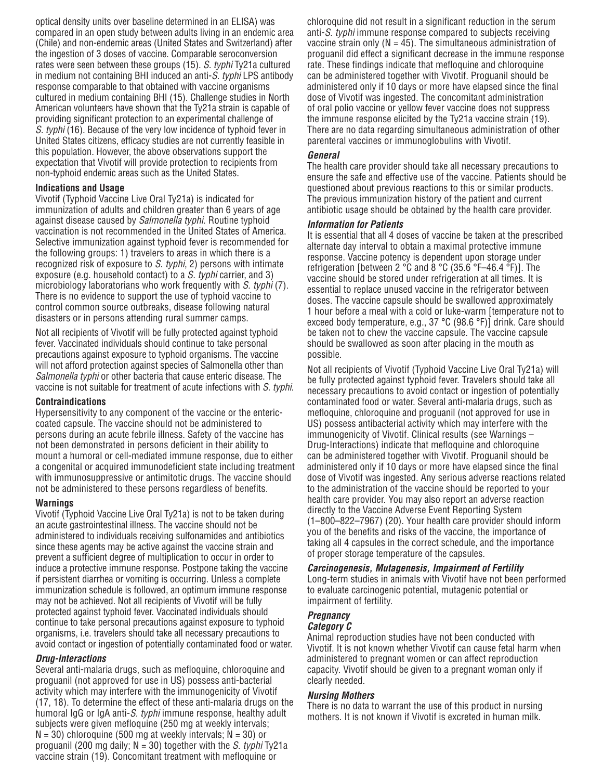optical density units over baseline determined in an ELISA) was compared in an open study between adults living in an endemic area (Chile) and non-endemic areas (United States and Switzerland) after the ingestion of 3 doses of vaccine. Comparable seroconversion rates were seen between these groups (15). S. typhi Ty21a cultured in medium not containing BHI induced an anti-S. typhi LPS antibody response comparable to that obtained with vaccine organisms cultured in medium containing BHI (15). Challenge studies in North American volunteers have shown that the Ty21a strain is capable of providing significant protection to an experimental challenge of S. typhi (16). Because of the very low incidence of typhoid fever in United States citizens, efficacy studies are not currently feasible in this population. However, the above observations support the expectation that Vivotif will provide protection to recipients from non-typhoid endemic areas such as the United States.

### **Indications and Usage**

Vivotif (Typhoid Vaccine Live Oral Ty21a) is indicated for immunization of adults and children greater than 6 years of age against disease caused by *Salmonella typhi*. Routine typhoid vaccination is not recommended in the United States of America. Selective immunization against typhoid fever is recommended for the following groups: 1) travelers to areas in which there is a recognized risk of exposure to S. typhi, 2) persons with intimate exposure (e.g. household contact) to a S. typhi carrier, and 3) microbiology laboratorians who work frequently with S. typhi (7). There is no evidence to support the use of typhoid vaccine to control common source outbreaks, disease following natural disasters or in persons attending rural summer camps.

Not all recipients of Vivotif will be fully protected against typhoid fever. Vaccinated individuals should continue to take personal precautions against exposure to typhoid organisms. The vaccine will not afford protection against species of Salmonella other than Salmonella typhi or other bacteria that cause enteric disease. The vaccine is not suitable for treatment of acute infections with S. typhi.

### **Contraindications**

Hypersensitivity to any component of the vaccine or the entericcoated capsule. The vaccine should not be administered to persons during an acute febrile illness. Safety of the vaccine has not been demonstrated in persons deficient in their ability to mount a humoral or cell-mediated immune response, due to either a congenital or acquired immunodeficient state including treatment with immunosuppressive or antimitotic drugs. The vaccine should not be administered to these persons regardless of benefits.

### **Warnings**

Vivotif (Typhoid Vaccine Live Oral Ty21a) is not to be taken during an acute gastrointestinal illness. The vaccine should not be administered to individuals receiving sulfonamides and antibiotics since these agents may be active against the vaccine strain and prevent a sufficient degree of multiplication to occur in order to induce a protective immune response. Postpone taking the vaccine if persistent diarrhea or vomiting is occurring. Unless a complete immunization schedule is followed, an optimum immune response may not be achieved. Not all recipients of Vivotif will be fully protected against typhoid fever. Vaccinated individuals should continue to take personal precautions against exposure to typhoid organisms, i.e. travelers should take all necessary precautions to avoid contact or ingestion of potentially contaminated food or water.

### **Drug-Interactions**

Several anti-malaria drugs, such as mefloquine, chloroquine and proguanil (not approved for use in US) possess anti-bacterial activity which may interfere with the immunogenicity of Vivotif (17, 18). To determine the effect of these anti-malaria drugs on the humoral IgG or IgA anti-S. typhi immune response, healthy adult subjects were given mefloquine (250 mg at weekly intervals;  $N = 30$ ) chloroquine (500 mg at weekly intervals;  $N = 30$ ) or proguanil (200 mg daily;  $N = 30$ ) together with the *S. typhi* Ty21a vaccine strain (19). Concomitant treatment with mefloquine or

chloroquine did not result in a significant reduction in the serum anti-S. typhi immune response compared to subjects receiving vaccine strain only ( $N = 45$ ). The simultaneous administration of proguanil did effect a significant decrease in the immune response rate. These findings indicate that mefloquine and chloroquine can be administered together with Vivotif. Proguanil should be administered only if 10 days or more have elapsed since the final dose of Vivotif was ingested. The concomitant administration of oral polio vaccine or yellow fever vaccine does not suppress the immune response elicited by the Ty21a vaccine strain (19). There are no data regarding simultaneous administration of other parenteral vaccines or immunoglobulins with Vivotif.

### **General**

The health care provider should take all necessary precautions to ensure the safe and effective use of the vaccine. Patients should be questioned about previous reactions to this or similar products. The previous immunization history of the patient and current antibiotic usage should be obtained by the health care provider.

### **Information for Patients**

It is essential that all 4 doses of vaccine be taken at the prescribed alternate day interval to obtain a maximal protective immune response. Vaccine potency is dependent upon storage under refrigeration [between 2 °C and 8 °C (35.6 °F–46.4 °F)]. The vaccine should be stored under refrigeration at all times. It is essential to replace unused vaccine in the refrigerator between doses. The vaccine capsule should be swallowed approximately 1 hour before a meal with a cold or luke-warm [temperature not to exceed body temperature, e.g., 37 °C (98.6 °F)] drink. Care should be taken not to chew the vaccine capsule. The vaccine capsule should be swallowed as soon after placing in the mouth as possible.

Not all recipients of Vivotif (Typhoid Vaccine Live Oral Ty21a) will be fully protected against typhoid fever. Travelers should take all necessary precautions to avoid contact or ingestion of potentially contaminated food or water. Several anti-malaria drugs, such as mefloquine, chloroquine and proguanil (not approved for use in US) possess antibacterial activity which may interfere with the immunogenicity of Vivotif. Clinical results (see Warnings – Drug-Interactions) indicate that mefloquine and chloroquine can be administered together with Vivotif. Proguanil should be administered only if 10 days or more have elapsed since the final dose of Vivotif was ingested. Any serious adverse reactions related to the administration of the vaccine should be reported to your health care provider. You may also report an adverse reaction directly to the Vaccine Adverse Event Reporting System (1–800–822–7967) (20). Your health care provider should inform you of the benefits and risks of the vaccine, the importance of taking all 4 capsules in the correct schedule, and the importance of proper storage temperature of the capsules.

### **Carcinogenesis, Mutagenesis, Impairment of Fertility** Long-term studies in animals with Vivotif have not been performed to evaluate carcinogenic potential, mutagenic potential or impairment of fertility.

#### **Pregnancy Category C**

Animal reproduction studies have not been conducted with Vivotif. It is not known whether Vivotif can cause fetal harm when administered to pregnant women or can affect reproduction capacity. Vivotif should be given to a pregnant woman only if clearly needed.

### **Nursing Mothers**

There is no data to warrant the use of this product in nursing mothers. It is not known if Vivotif is excreted in human milk.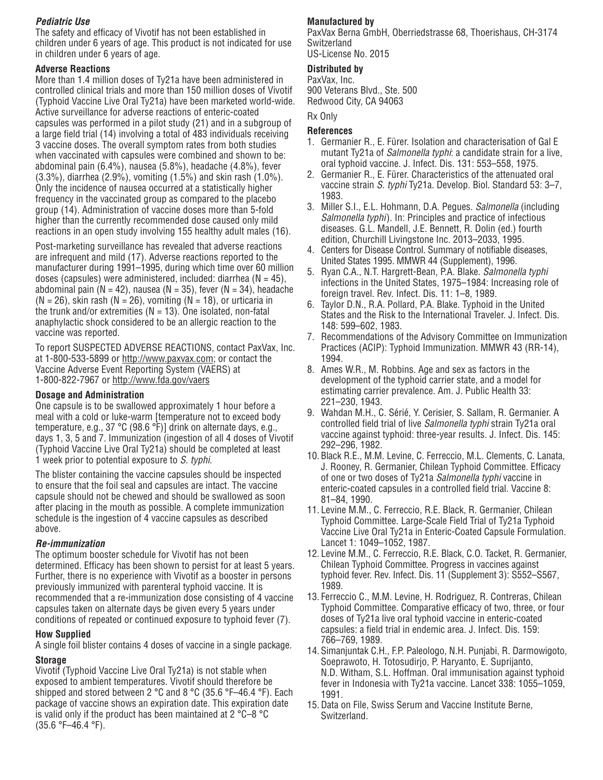# **Pediatric Use**

The safety and efficacy of Vivotif has not been established in children under 6 years of age. This product is not indicated for use in children under 6 years of age.

### **Adverse Reactions**

More than 1.4 million doses of Ty21a have been administered in controlled clinical trials and more than 150 million doses of Vivotif (Typhoid Vaccine Live Oral Ty21a) have been marketed world-wide. Active surveillance for adverse reactions of enteric-coated capsules was performed in a pilot study (21) and in a subgroup of a large field trial (14) involving a total of 483 individuals receiving 3 vaccine doses. The overall symptom rates from both studies when vaccinated with capsules were combined and shown to be: abdominal pain (6.4%), nausea (5.8%), headache (4.8%), fever (3.3%), diarrhea (2.9%), vomiting (1.5%) and skin rash (1.0%). Only the incidence of nausea occurred at a statistically higher frequency in the vaccinated group as compared to the placebo group (14). Administration of vaccine doses more than 5-fold higher than the currently recommended dose caused only mild reactions in an open study involving 155 healthy adult males (16).

Post-marketing surveillance has revealed that adverse reactions are infrequent and mild (17). Adverse reactions reported to the manufacturer during 1991–1995, during which time over 60 million doses (capsules) were administered, included: diarrhea ( $N = 45$ ), abdominal pain ( $N = 42$ ), nausea ( $N = 35$ ), fever ( $N = 34$ ), headache  $(N = 26)$ , skin rash  $(N = 26)$ , vomiting  $(N = 18)$ , or urticaria in the trunk and/or extremities  $(N = 13)$ . One isolated, non-fatal anaphylactic shock considered to be an allergic reaction to the vaccine was reported.

To report SUSPECTED ADVERSE REACTIONS, contact PaxVax, Inc. at 1-800-533-5899 or http://www.paxvax.com; or contact the Vaccine Adverse Event Reporting System (VAERS) at 1-800-822-7967 or http://www.fda.gov/vaers

## **Dosage and Administration**

One capsule is to be swallowed approximately 1 hour before a meal with a cold or luke-warm [temperature not to exceed body temperature, e.g., 37 °C (98.6 °F)] drink on alternate days, e.g., days 1, 3, 5 and 7. Immunization (ingestion of all 4 doses of Vivotif (Typhoid Vaccine Live Oral Ty21a) should be completed at least 1 week prior to potential exposure to S. typhi.

The blister containing the vaccine capsules should be inspected to ensure that the foil seal and capsules are intact. The vaccine capsule should not be chewed and should be swallowed as soon after placing in the mouth as possible. A complete immunization schedule is the ingestion of 4 vaccine capsules as described above.

## **Re-immunization**

The optimum booster schedule for Vivotif has not been determined. Efficacy has been shown to persist for at least 5 years. Further, there is no experience with Vivotif as a booster in persons previously immunized with parenteral typhoid vaccine. It is recommended that a re-immunization dose consisting of 4 vaccine capsules taken on alternate days be given every 5 years under conditions of repeated or continued exposure to typhoid fever (7).

## **How Supplied**

A single foil blister contains 4 doses of vaccine in a single package.

## **Storage**

Vivotif (Typhoid Vaccine Live Oral Ty21a) is not stable when exposed to ambient temperatures. Vivotif should therefore be shipped and stored between 2 °C and 8 °C (35.6 °F–46.4 °F). Each package of vaccine shows an expiration date. This expiration date is valid only if the product has been maintained at 2 °C–8 °C (35.6 °F–46.4 °F).

# **Manufactured by**

PaxVax Berna GmbH, Oberriedstrasse 68, Thoerishaus, CH-3174 Switzerland

US-License No. 2015

## **Distributed by**

PaxVax, Inc. 900 Veterans Blvd., Ste. 500 Redwood City, CA 94063

Rx Only

### **References**

- 1. Germanier R., E. Fürer. Isolation and characterisation of Gal E mutant Ty21a of *Salmonella typhi*: a candidate strain for a live, oral typhoid vaccine. J. Infect. Dis. 131: 553–558, 1975.
- 2. Germanier R., E. Fürer. Characteristics of the attenuated oral vaccine strain S. typhi Ty21a. Develop. Biol. Standard 53: 3-7, 1983.
- 3. Miller S.I., E.L. Hohmann, D.A. Pegues. Salmonella (including Salmonella typhi). In: Principles and practice of infectious diseases. G.L. Mandell, J.E. Bennett, R. Dolin (ed.) fourth edition, Churchill Livingstone Inc. 2013–2033, 1995.
- 4. Centers for Disease Control. Summary of notifiable diseases, United States 1995. MMWR 44 (Supplement), 1996.
- 5. Ryan C.A., N.T. Hargrett-Bean, P.A. Blake. Salmonella typhi infections in the United States, 1975–1984: Increasing role of foreign travel. Rev. Infect. Dis. 11: 1–8, 1989.
- 6. Taylor D.N., R.A. Pollard, P.A. Blake. Typhoid in the United States and the Risk to the International Traveler. J. Infect. Dis. 148: 599–602, 1983.
- 7. Recommendations of the Advisory Committee on Immunization Practices (ACIP): Typhoid Immunization. MMWR 43 (RR-14), 1994.
- 8. Ames W.R., M. Robbins. Age and sex as factors in the development of the typhoid carrier state, and a model for estimating carrier prevalence. Am. J. Public Health 33: 221–230, 1943.
- 9. Wahdan M.H., C. Sérié, Y. Cerisier, S. Sallam, R. Germanier. A controlled field trial of live Salmonella typhi strain Ty21a oral vaccine against typhoid: three-year results. J. Infect. Dis. 145: 292–296, 1982.
- 10. Black R.E., M.M. Levine, C. Ferreccio, M.L. Clements, C. Lanata, J. Rooney, R. Germanier, Chilean Typhoid Committee. Efficacy of one or two doses of Ty21a Salmonella typhi vaccine in enteric-coated capsules in a controlled field trial. Vaccine 8: 81–84, 1990.
- 11. Levine M.M., C. Ferreccio, R.E. Black, R. Germanier, Chilean Typhoid Committee. Large-Scale Field Trial of Ty21a Typhoid Vaccine Live Oral Ty21a in Enteric-Coated Capsule Formulation. Lancet 1: 1049–1052, 1987.
- 12. Levine M.M., C. Ferreccio, R.E. Black, C.O. Tacket, R. Germanier, Chilean Typhoid Committee. Progress in vaccines against typhoid fever. Rev. Infect. Dis. 11 (Supplement 3): S552–S567, 1989.
- 13. Ferreccio C., M.M. Levine, H. Rodriguez, R. Contreras, Chilean Typhoid Committee. Comparative efficacy of two, three, or four doses of Ty21a live oral typhoid vaccine in enteric-coated capsules: a field trial in endemic area. J. Infect. Dis. 159: 766–769, 1989.
- 14. Simanjuntak C.H., F.P. Paleologo, N.H. Punjabi, R. Darmowigoto, Soeprawoto, H. Totosudirjo, P. Haryanto, E. Suprijanto, N.D. Witham, S.L. Hoffman. Oral immunisation against typhoid fever in Indonesia with Ty21a vaccine. Lancet 338: 1055–1059, 1991.
- 15. Data on File, Swiss Serum and Vaccine Institute Berne, Switzerland.